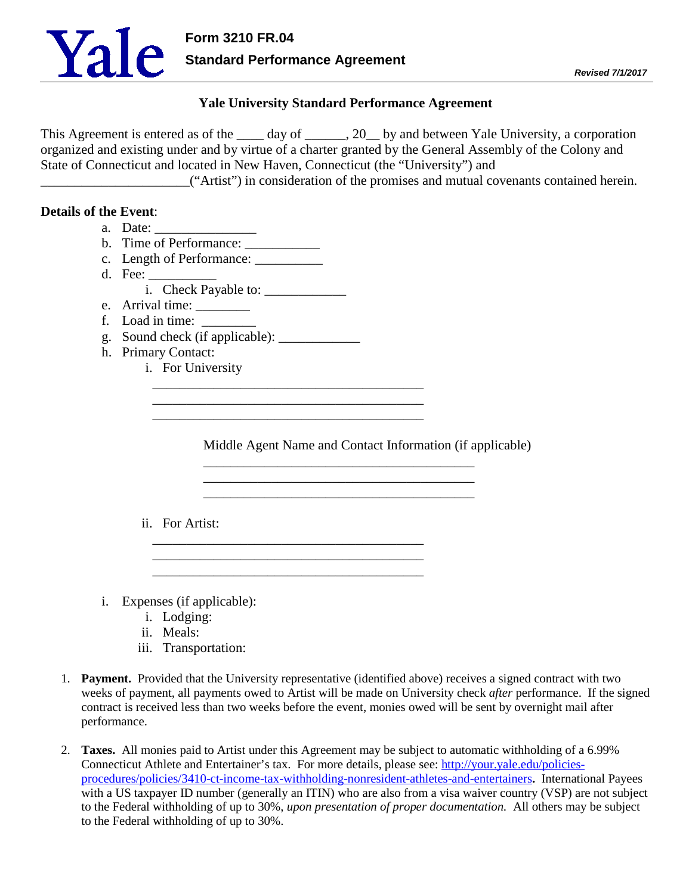

## **Yale University Standard Performance Agreement**

This Agreement is entered as of the \_\_\_\_\_ day of \_\_\_\_\_\_, 20\_\_ by and between Yale University, a corporation organized and existing under and by virtue of a charter granted by the General Assembly of the Colony and State of Connecticut and located in New Haven, Connecticut (the "University") and

\_\_\_\_\_\_\_\_\_\_\_\_\_\_\_\_\_\_\_\_\_\_("Artist") in consideration of the promises and mutual covenants contained herein.

## **Details of the Event**:

- a. Date:
- b. Time of Performance:
- c. Length of Performance: \_\_\_\_\_\_\_\_\_\_
- d. Fee:
	- i. Check Payable to: \_\_\_\_\_\_\_\_\_\_\_\_
- e. Arrival time:
- f. Load in time:
- g. Sound check (if applicable): \_\_\_\_\_\_\_\_\_\_\_\_

\_\_\_\_\_\_\_\_\_\_\_\_\_\_\_\_\_\_\_\_\_\_\_\_\_\_\_\_\_\_\_\_\_\_\_\_\_\_\_\_

\_\_\_\_\_\_\_\_\_\_\_\_\_\_\_\_\_\_\_\_\_\_\_\_\_\_\_\_\_\_\_\_\_\_\_\_\_\_\_\_

\_\_\_\_\_\_\_\_\_\_\_\_\_\_\_\_\_\_\_\_\_\_\_\_\_\_\_\_\_\_\_\_\_\_\_\_\_\_\_\_ \_\_\_\_\_\_\_\_\_\_\_\_\_\_\_\_\_\_\_\_\_\_\_\_\_\_\_\_\_\_\_\_\_\_\_\_\_\_\_\_ \_\_\_\_\_\_\_\_\_\_\_\_\_\_\_\_\_\_\_\_\_\_\_\_\_\_\_\_\_\_\_\_\_\_\_\_\_\_\_\_

- h. Primary Contact:
	- i. For University

Middle Agent Name and Contact Information (if applicable)

\_\_\_\_\_\_\_\_\_\_\_\_\_\_\_\_\_\_\_\_\_\_\_\_\_\_\_\_\_\_\_\_\_\_\_\_\_\_\_\_ \_\_\_\_\_\_\_\_\_\_\_\_\_\_\_\_\_\_\_\_\_\_\_\_\_\_\_\_\_\_\_\_\_\_\_\_\_\_\_\_ \_\_\_\_\_\_\_\_\_\_\_\_\_\_\_\_\_\_\_\_\_\_\_\_\_\_\_\_\_\_\_\_\_\_\_\_\_\_\_\_

- ii. For Artist:
- i. Expenses (if applicable):
	- i. Lodging:
	- ii. Meals:
	- iii. Transportation:
- 1. **Payment.** Provided that the University representative (identified above) receives a signed contract with two weeks of payment, all payments owed to Artist will be made on University check *after* performance. If the signed contract is received less than two weeks before the event, monies owed will be sent by overnight mail after performance.
- 2. **Taxes.** All monies paid to Artist under this Agreement may be subject to automatic withholding of a 6.99% Connecticut Athlete and Entertainer's tax. For more details, please see: [http://your.yale.edu/policies](http://your.yale.edu/policies-procedures/policies/3410-ct-income-tax-withholding-nonresident-athletes-and-entertainers)[procedures/policies/3410-ct-income-tax-withholding-nonresident-athletes-and-entertainers](http://your.yale.edu/policies-procedures/policies/3410-ct-income-tax-withholding-nonresident-athletes-and-entertainers)**.** International Payees with a US taxpayer ID number (generally an ITIN) who are also from a visa waiver country (VSP) are not subject to the Federal withholding of up to 30%, *upon presentation of proper documentation.* All others may be subject to the Federal withholding of up to 30%.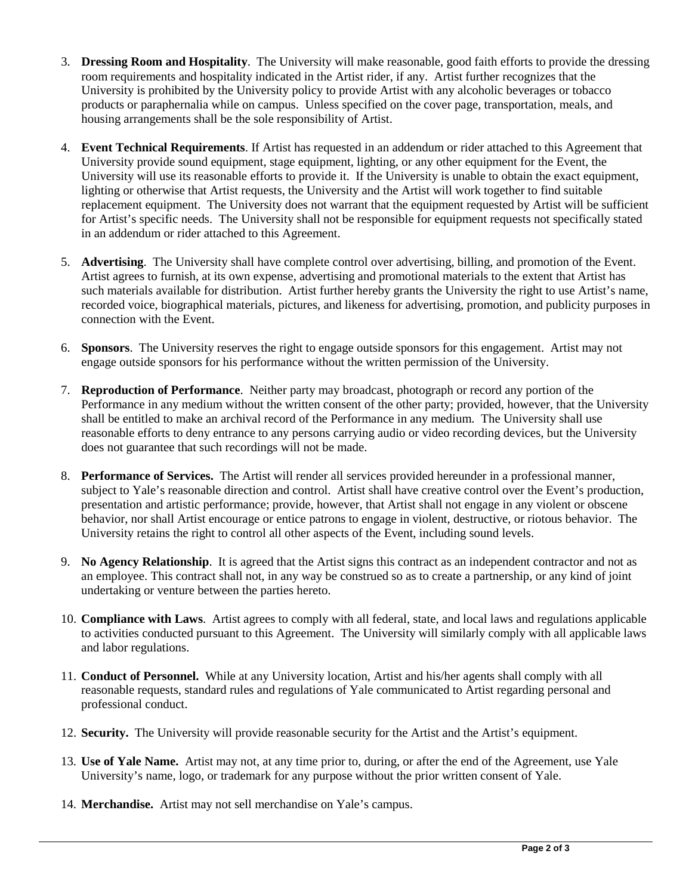- 3. **Dressing Room and Hospitality**. The University will make reasonable, good faith efforts to provide the dressing room requirements and hospitality indicated in the Artist rider, if any. Artist further recognizes that the University is prohibited by the University policy to provide Artist with any alcoholic beverages or tobacco products or paraphernalia while on campus. Unless specified on the cover page, transportation, meals, and housing arrangements shall be the sole responsibility of Artist.
- 4. **Event Technical Requirements**. If Artist has requested in an addendum or rider attached to this Agreement that University provide sound equipment, stage equipment, lighting, or any other equipment for the Event, the University will use its reasonable efforts to provide it. If the University is unable to obtain the exact equipment, lighting or otherwise that Artist requests, the University and the Artist will work together to find suitable replacement equipment. The University does not warrant that the equipment requested by Artist will be sufficient for Artist's specific needs. The University shall not be responsible for equipment requests not specifically stated in an addendum or rider attached to this Agreement.
- 5. **Advertising**. The University shall have complete control over advertising, billing, and promotion of the Event. Artist agrees to furnish, at its own expense, advertising and promotional materials to the extent that Artist has such materials available for distribution. Artist further hereby grants the University the right to use Artist's name, recorded voice, biographical materials, pictures, and likeness for advertising, promotion, and publicity purposes in connection with the Event.
- 6. **Sponsors**. The University reserves the right to engage outside sponsors for this engagement. Artist may not engage outside sponsors for his performance without the written permission of the University.
- 7. **Reproduction of Performance**. Neither party may broadcast, photograph or record any portion of the Performance in any medium without the written consent of the other party; provided, however, that the University shall be entitled to make an archival record of the Performance in any medium. The University shall use reasonable efforts to deny entrance to any persons carrying audio or video recording devices, but the University does not guarantee that such recordings will not be made.
- 8. **Performance of Services.** The Artist will render all services provided hereunder in a professional manner, subject to Yale's reasonable direction and control. Artist shall have creative control over the Event's production, presentation and artistic performance; provide, however, that Artist shall not engage in any violent or obscene behavior, nor shall Artist encourage or entice patrons to engage in violent, destructive, or riotous behavior. The University retains the right to control all other aspects of the Event, including sound levels.
- 9. **No Agency Relationship**.It is agreed that the Artist signs this contract as an independent contractor and not as an employee. This contract shall not, in any way be construed so as to create a partnership, or any kind of joint undertaking or venture between the parties hereto.
- 10. **Compliance with Laws**. Artist agrees to comply with all federal, state, and local laws and regulations applicable to activities conducted pursuant to this Agreement. The University will similarly comply with all applicable laws and labor regulations.
- 11. **Conduct of Personnel.** While at any University location, Artist and his/her agents shall comply with all reasonable requests, standard rules and regulations of Yale communicated to Artist regarding personal and professional conduct.
- 12. **Security.** The University will provide reasonable security for the Artist and the Artist's equipment.
- 13. **Use of Yale Name.** Artist may not, at any time prior to, during, or after the end of the Agreement, use Yale University's name, logo, or trademark for any purpose without the prior written consent of Yale.
- 14. **Merchandise.** Artist may not sell merchandise on Yale's campus.